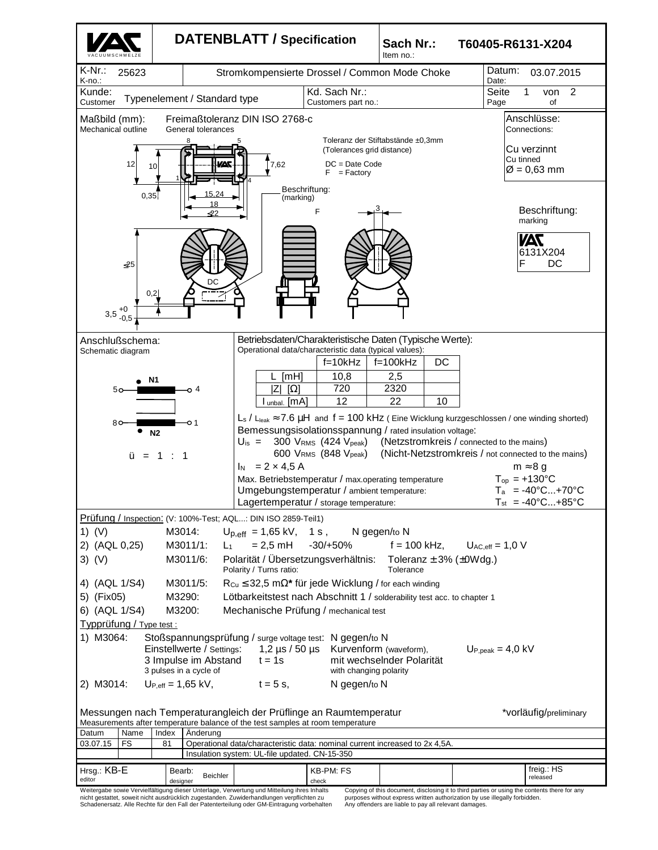

nicht gestattet, soweit nicht ausdrücklich zugestanden. Zuwiderhandlungen verpflichten zu Schadenersatz. Alle Rechte für den Fall der Patenterteilung oder GM-Eintragung vorbehalten

purposes without express written authorization by use illegally forbidden. Any offenders are liable to pay all relevant damages.